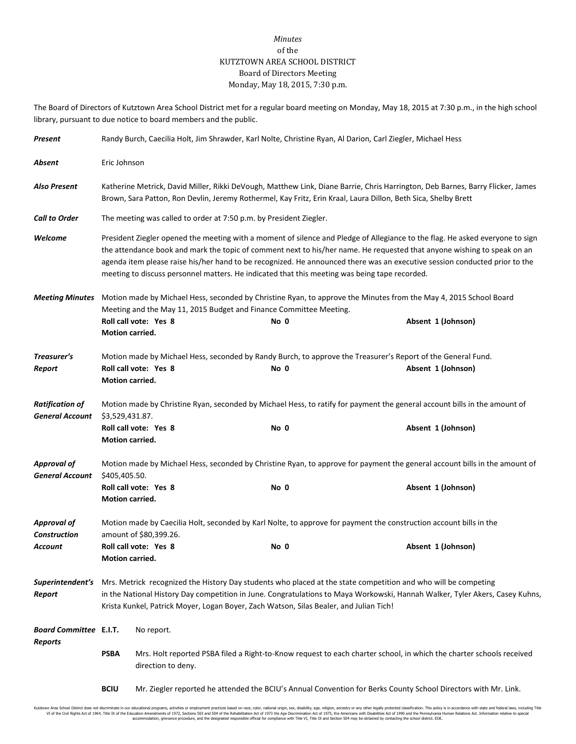## *Minutes* of the KUTZTOWN AREA SCHOOL DISTRICT Board of Directors Meeting Monday, May 18, 2015, 7:30 p.m.

The Board of Directors of Kutztown Area School District met for a regular board meeting on Monday, May 18, 2015 at 7:30 p.m., in the high school library, pursuant to due notice to board members and the public.

| Present                                          | Randy Burch, Caecilia Holt, Jim Shrawder, Karl Nolte, Christine Ryan, Al Darion, Carl Ziegler, Michael Hess                                                                                                                                                                                                                                                                                                                                                                             |                       |                                                                            |                                                                                                                                                         |  |  |
|--------------------------------------------------|-----------------------------------------------------------------------------------------------------------------------------------------------------------------------------------------------------------------------------------------------------------------------------------------------------------------------------------------------------------------------------------------------------------------------------------------------------------------------------------------|-----------------------|----------------------------------------------------------------------------|---------------------------------------------------------------------------------------------------------------------------------------------------------|--|--|
| Absent                                           | Eric Johnson                                                                                                                                                                                                                                                                                                                                                                                                                                                                            |                       |                                                                            |                                                                                                                                                         |  |  |
| <b>Also Present</b>                              | Katherine Metrick, David Miller, Rikki DeVough, Matthew Link, Diane Barrie, Chris Harrington, Deb Barnes, Barry Flicker, James<br>Brown, Sara Patton, Ron Devlin, Jeremy Rothermel, Kay Fritz, Erin Kraal, Laura Dillon, Beth Sica, Shelby Brett                                                                                                                                                                                                                                        |                       |                                                                            |                                                                                                                                                         |  |  |
| <b>Call to Order</b>                             | The meeting was called to order at 7:50 p.m. by President Ziegler.                                                                                                                                                                                                                                                                                                                                                                                                                      |                       |                                                                            |                                                                                                                                                         |  |  |
| Welcome                                          | President Ziegler opened the meeting with a moment of silence and Pledge of Allegiance to the flag. He asked everyone to sign<br>the attendance book and mark the topic of comment next to his/her name. He requested that anyone wishing to speak on an<br>agenda item please raise his/her hand to be recognized. He announced there was an executive session conducted prior to the<br>meeting to discuss personnel matters. He indicated that this meeting was being tape recorded. |                       |                                                                            |                                                                                                                                                         |  |  |
|                                                  | Motion carried.                                                                                                                                                                                                                                                                                                                                                                                                                                                                         | Roll call vote: Yes 8 | Meeting and the May 11, 2015 Budget and Finance Committee Meeting.<br>No 0 | Meeting Minutes Motion made by Michael Hess, seconded by Christine Ryan, to approve the Minutes from the May 4, 2015 School Board<br>Absent 1 (Johnson) |  |  |
| Treasurer's<br>Report                            | Motion carried.                                                                                                                                                                                                                                                                                                                                                                                                                                                                         | Roll call vote: Yes 8 | No 0                                                                       | Motion made by Michael Hess, seconded by Randy Burch, to approve the Treasurer's Report of the General Fund.<br>Absent 1 (Johnson)                      |  |  |
| <b>Ratification of</b><br><b>General Account</b> | Motion made by Christine Ryan, seconded by Michael Hess, to ratify for payment the general account bills in the amount of<br>\$3,529,431.87.                                                                                                                                                                                                                                                                                                                                            |                       |                                                                            |                                                                                                                                                         |  |  |
|                                                  | Motion carried.                                                                                                                                                                                                                                                                                                                                                                                                                                                                         | Roll call vote: Yes 8 | No 0                                                                       | Absent 1 (Johnson)                                                                                                                                      |  |  |
| <b>Approval of</b><br><b>General Account</b>     | Motion made by Michael Hess, seconded by Christine Ryan, to approve for payment the general account bills in the amount of<br>\$405,405.50.                                                                                                                                                                                                                                                                                                                                             |                       |                                                                            |                                                                                                                                                         |  |  |
|                                                  | Motion carried.                                                                                                                                                                                                                                                                                                                                                                                                                                                                         | Roll call vote: Yes 8 | No 0                                                                       | Absent 1 (Johnson)                                                                                                                                      |  |  |
| <b>Approval of</b><br><b>Construction</b>        | Motion made by Caecilia Holt, seconded by Karl Nolte, to approve for payment the construction account bills in the<br>amount of \$80,399.26.                                                                                                                                                                                                                                                                                                                                            |                       |                                                                            |                                                                                                                                                         |  |  |
| Account                                          | Roll call vote: Yes 8<br>Motion carried.                                                                                                                                                                                                                                                                                                                                                                                                                                                |                       | No 0                                                                       | Absent 1 (Johnson)                                                                                                                                      |  |  |
| Superintendent's<br>Report                       | Mrs. Metrick recognized the History Day students who placed at the state competition and who will be competing<br>in the National History Day competition in June. Congratulations to Maya Workowski, Hannah Walker, Tyler Akers, Casey Kuhns,<br>Krista Kunkel, Patrick Moyer, Logan Boyer, Zach Watson, Silas Bealer, and Julian Tich!                                                                                                                                                |                       |                                                                            |                                                                                                                                                         |  |  |
| <b>Board Committee E.I.T.</b>                    |                                                                                                                                                                                                                                                                                                                                                                                                                                                                                         | No report.            |                                                                            |                                                                                                                                                         |  |  |
| Reports                                          | <b>PSBA</b><br>Mrs. Holt reported PSBA filed a Right-to-Know request to each charter school, in which the charter schools received<br>direction to deny.                                                                                                                                                                                                                                                                                                                                |                       |                                                                            |                                                                                                                                                         |  |  |

**BCIU** Mr. Ziegler reported he attended the BCIU's Annual Convention for Berks County School Directors with Mr. Link.

Kutztown Area School District does not discriminate in our educational programs, activities or employment practices based on race, color, national origin, sex, disability, age, religion, ancestry or any other legally prot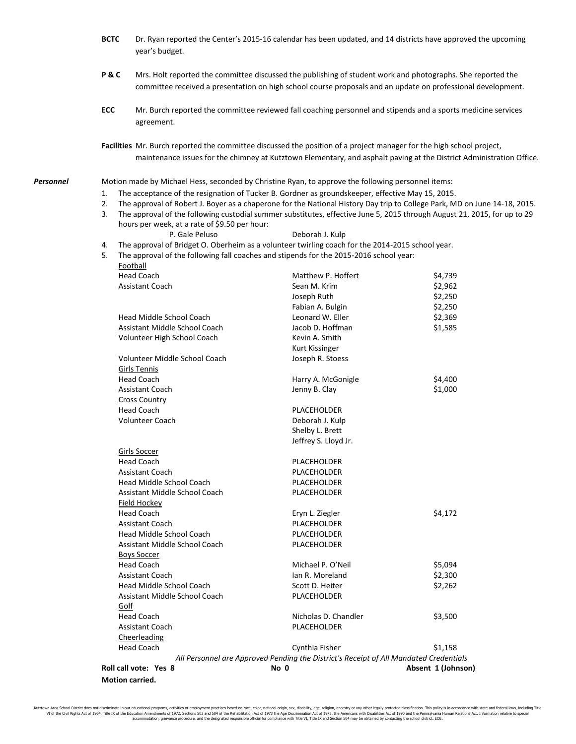- **BCTC** Dr. Ryan reported the Center's 2015-16 calendar has been updated, and 14 districts have approved the upcoming year's budget.
- **P & C** Mrs. Holt reported the committee discussed the publishing of student work and photographs. She reported the committee received a presentation on high school course proposals and an update on professional development.
- **ECC** Mr. Burch reported the committee reviewed fall coaching personnel and stipends and a sports medicine services agreement.

**Facilities** Mr. Burch reported the committee discussed the position of a project manager for the high school project, maintenance issues for the chimney at Kutztown Elementary, and asphalt paving at the District Administration Office.

*Personnel* Motion made by Michael Hess, seconded by Christine Ryan, to approve the following personnel items:

- 1. The acceptance of the resignation of Tucker B. Gordner as groundskeeper, effective May 15, 2015.
- 2. The approval of Robert J. Boyer as a chaperone for the National History Day trip to College Park, MD on June 14-18, 2015.
- 3. The approval of the following custodial summer substitutes, effective June 5, 2015 through August 21, 2015, for up to 29 hours per week, at a rate of \$9.50 per hour:

P. Gale Peluso Deborah J. Kulp

4. The approval of Bridget O. Oberheim as a volunteer twirling coach for the 2014-2015 school year.

5. The approval of the following fall coaches and stipends for the 2015-2016 school year: Football

| Roll call vote: Yes 8  |                                 | No 0                                                                                  | Absent 1 (Johnson) |
|------------------------|---------------------------------|---------------------------------------------------------------------------------------|--------------------|
|                        |                                 | All Personnel are Approved Pending the District's Receipt of All Mandated Credentials |                    |
| <b>Head Coach</b>      |                                 | Cynthia Fisher                                                                        | \$1,158            |
| Cheerleading           |                                 |                                                                                       |                    |
| <b>Assistant Coach</b> |                                 | PLACEHOLDER                                                                           |                    |
| <b>Head Coach</b>      |                                 | Nicholas D. Chandler                                                                  | \$3,500            |
| Golf                   |                                 |                                                                                       |                    |
|                        | Assistant Middle School Coach   | PLACEHOLDER                                                                           |                    |
|                        | Head Middle School Coach        | Scott D. Heiter                                                                       | \$2,262            |
| Assistant Coach        |                                 | Ian R. Moreland                                                                       | \$2,300            |
| <b>Head Coach</b>      |                                 | Michael P. O'Neil                                                                     | \$5,094            |
| <b>Boys Soccer</b>     |                                 |                                                                                       |                    |
|                        | Assistant Middle School Coach   | PLACEHOLDER                                                                           |                    |
|                        | <b>Head Middle School Coach</b> | PLACEHOLDER                                                                           |                    |
| <b>Assistant Coach</b> |                                 | PLACEHOLDER                                                                           |                    |
| <b>Head Coach</b>      |                                 | Eryn L. Ziegler                                                                       | \$4,172            |
| Field Hockey           |                                 |                                                                                       |                    |
|                        | Assistant Middle School Coach   | PLACEHOLDER                                                                           |                    |
|                        | Head Middle School Coach        | PLACEHOLDER                                                                           |                    |
| <b>Assistant Coach</b> |                                 | PLACEHOLDER                                                                           |                    |
| <b>Head Coach</b>      |                                 | PLACEHOLDER                                                                           |                    |
| Girls Soccer           |                                 |                                                                                       |                    |
|                        |                                 | Jeffrey S. Lloyd Jr.                                                                  |                    |
|                        |                                 | Shelby L. Brett                                                                       |                    |
| <b>Volunteer Coach</b> |                                 | Deborah J. Kulp                                                                       |                    |
| <b>Head Coach</b>      |                                 | PLACEHOLDER                                                                           |                    |
| <b>Cross Country</b>   |                                 |                                                                                       |                    |
| <b>Assistant Coach</b> |                                 | Jenny B. Clay                                                                         | \$1,000            |
| <b>Head Coach</b>      |                                 | Harry A. McGonigle                                                                    | \$4,400            |
| Girls Tennis           | Volunteer Middle School Coach   | Joseph R. Stoess                                                                      |                    |
|                        |                                 | Kurt Kissinger                                                                        |                    |
|                        | Volunteer High School Coach     | Kevin A. Smith                                                                        |                    |
|                        | Assistant Middle School Coach   | Jacob D. Hoffman                                                                      | \$1,585            |
|                        | Head Middle School Coach        | Leonard W. Eller                                                                      | \$2,369            |
|                        |                                 | Fabian A. Bulgin                                                                      | \$2,250            |
|                        |                                 | Joseph Ruth                                                                           | \$2,250            |
| <b>Assistant Coach</b> |                                 | Sean M. Krim                                                                          | \$2,962            |
|                        |                                 |                                                                                       |                    |

**Motion carried.**

Kutztown Area School District does not discriminate in our educational programs, activities or employment practices based on race, color, national origin, sex, disability, age, religion, ancestry or any other legally prot VI of the Civil Rights Act of 1964, Title IX of the Education Amendments of 1972, Sections 503 and 504 of 1975 the Ape Discrimination redstreamination and the Amenical studies Act. Information relative to special the casus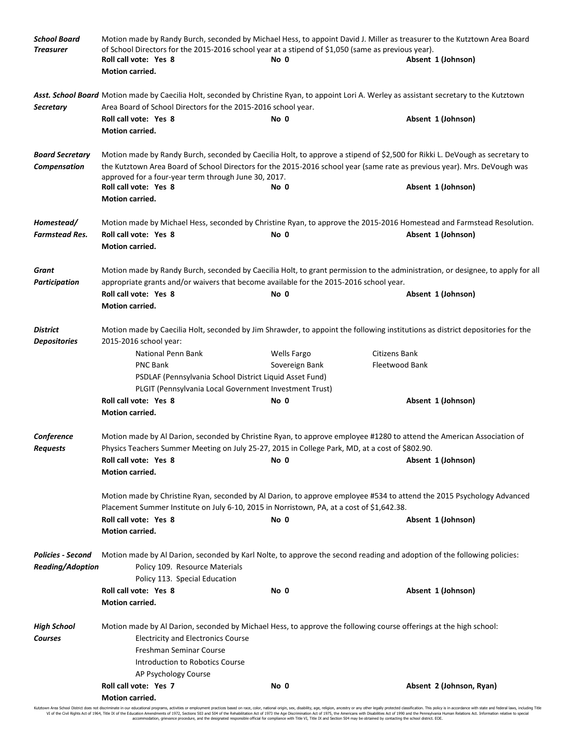| <b>School Board</b><br><b>Treasurer</b> | Motion made by Randy Burch, seconded by Michael Hess, to appoint David J. Miller as treasurer to the Kutztown Area Board<br>of School Directors for the 2015-2016 school year at a stipend of \$1,050 (same as previous year). |                |                                                                                                                                               |  |  |  |  |
|-----------------------------------------|--------------------------------------------------------------------------------------------------------------------------------------------------------------------------------------------------------------------------------|----------------|-----------------------------------------------------------------------------------------------------------------------------------------------|--|--|--|--|
|                                         | Roll call vote: Yes 8                                                                                                                                                                                                          | No 0           | Absent 1 (Johnson)                                                                                                                            |  |  |  |  |
|                                         | <b>Motion carried.</b>                                                                                                                                                                                                         |                |                                                                                                                                               |  |  |  |  |
|                                         |                                                                                                                                                                                                                                |                | Asst. School Board Motion made by Caecilia Holt, seconded by Christine Ryan, to appoint Lori A. Werley as assistant secretary to the Kutztown |  |  |  |  |
| <b>Secretary</b>                        | Area Board of School Directors for the 2015-2016 school year.                                                                                                                                                                  |                |                                                                                                                                               |  |  |  |  |
|                                         | Roll call vote: Yes 8                                                                                                                                                                                                          | No 0           | Absent 1 (Johnson)                                                                                                                            |  |  |  |  |
|                                         | <b>Motion carried.</b>                                                                                                                                                                                                         |                |                                                                                                                                               |  |  |  |  |
| <b>Board Secretary</b>                  |                                                                                                                                                                                                                                |                | Motion made by Randy Burch, seconded by Caecilia Holt, to approve a stipend of \$2,500 for Rikki L. DeVough as secretary to                   |  |  |  |  |
| Compensation                            | the Kutztown Area Board of School Directors for the 2015-2016 school year (same rate as previous year). Mrs. DeVough was                                                                                                       |                |                                                                                                                                               |  |  |  |  |
|                                         | approved for a four-year term through June 30, 2017.                                                                                                                                                                           |                |                                                                                                                                               |  |  |  |  |
|                                         | Roll call vote: Yes 8                                                                                                                                                                                                          | No 0           | Absent 1 (Johnson)                                                                                                                            |  |  |  |  |
|                                         | Motion carried.                                                                                                                                                                                                                |                |                                                                                                                                               |  |  |  |  |
| Homestead/                              |                                                                                                                                                                                                                                |                | Motion made by Michael Hess, seconded by Christine Ryan, to approve the 2015-2016 Homestead and Farmstead Resolution.                         |  |  |  |  |
| <b>Farmstead Res.</b>                   | Roll call vote: Yes 8                                                                                                                                                                                                          | No 0           | Absent 1 (Johnson)                                                                                                                            |  |  |  |  |
|                                         | Motion carried.                                                                                                                                                                                                                |                |                                                                                                                                               |  |  |  |  |
| Grant                                   |                                                                                                                                                                                                                                |                | Motion made by Randy Burch, seconded by Caecilia Holt, to grant permission to the administration, or designee, to apply for all               |  |  |  |  |
| <b>Participation</b>                    | appropriate grants and/or waivers that become available for the 2015-2016 school year.                                                                                                                                         |                |                                                                                                                                               |  |  |  |  |
|                                         | Roll call vote: Yes 8                                                                                                                                                                                                          | No 0           | Absent 1 (Johnson)                                                                                                                            |  |  |  |  |
|                                         | Motion carried.                                                                                                                                                                                                                |                |                                                                                                                                               |  |  |  |  |
| <b>District</b>                         |                                                                                                                                                                                                                                |                | Motion made by Caecilia Holt, seconded by Jim Shrawder, to appoint the following institutions as district depositories for the                |  |  |  |  |
| <b>Depositories</b>                     | 2015-2016 school year:                                                                                                                                                                                                         |                |                                                                                                                                               |  |  |  |  |
|                                         | National Penn Bank                                                                                                                                                                                                             | Wells Fargo    | Citizens Bank                                                                                                                                 |  |  |  |  |
|                                         | <b>PNC Bank</b>                                                                                                                                                                                                                | Sovereign Bank | Fleetwood Bank                                                                                                                                |  |  |  |  |
|                                         | PSDLAF (Pennsylvania School District Liquid Asset Fund)                                                                                                                                                                        |                |                                                                                                                                               |  |  |  |  |
|                                         | PLGIT (Pennsylvania Local Government Investment Trust)                                                                                                                                                                         |                |                                                                                                                                               |  |  |  |  |
|                                         | Roll call vote: Yes 8                                                                                                                                                                                                          | No 0           | Absent 1 (Johnson)                                                                                                                            |  |  |  |  |
|                                         | Motion carried.                                                                                                                                                                                                                |                |                                                                                                                                               |  |  |  |  |
| Conference                              |                                                                                                                                                                                                                                |                | Motion made by Al Darion, seconded by Christine Ryan, to approve employee #1280 to attend the American Association of                         |  |  |  |  |
| <b>Requests</b>                         | Physics Teachers Summer Meeting on July 25-27, 2015 in College Park, MD, at a cost of \$802.90.                                                                                                                                |                |                                                                                                                                               |  |  |  |  |
|                                         | Roll call vote: Yes 8                                                                                                                                                                                                          | No 0           | Absent 1 (Johnson)                                                                                                                            |  |  |  |  |
|                                         | Motion carried.                                                                                                                                                                                                                |                |                                                                                                                                               |  |  |  |  |
|                                         |                                                                                                                                                                                                                                |                |                                                                                                                                               |  |  |  |  |
|                                         | Motion made by Christine Ryan, seconded by Al Darion, to approve employee #534 to attend the 2015 Psychology Advanced<br>Placement Summer Institute on July 6-10, 2015 in Norristown, PA, at a cost of \$1,642.38.             |                |                                                                                                                                               |  |  |  |  |
|                                         | Roll call vote: Yes 8                                                                                                                                                                                                          | No 0           | Absent 1 (Johnson)                                                                                                                            |  |  |  |  |
|                                         | Motion carried.                                                                                                                                                                                                                |                |                                                                                                                                               |  |  |  |  |
| <b>Policies - Second</b>                |                                                                                                                                                                                                                                |                |                                                                                                                                               |  |  |  |  |
|                                         |                                                                                                                                                                                                                                |                | Motion made by Al Darion, seconded by Karl Nolte, to approve the second reading and adoption of the following policies:                       |  |  |  |  |
| <b>Reading/Adoption</b>                 | Policy 109. Resource Materials<br>Policy 113. Special Education                                                                                                                                                                |                |                                                                                                                                               |  |  |  |  |
|                                         | Roll call vote: Yes 8                                                                                                                                                                                                          | No 0           | Absent 1 (Johnson)                                                                                                                            |  |  |  |  |
|                                         | Motion carried.                                                                                                                                                                                                                |                |                                                                                                                                               |  |  |  |  |
|                                         |                                                                                                                                                                                                                                |                |                                                                                                                                               |  |  |  |  |
| <b>High School</b>                      | Motion made by Al Darion, seconded by Michael Hess, to approve the following course offerings at the high school:                                                                                                              |                |                                                                                                                                               |  |  |  |  |
| <b>Courses</b>                          | <b>Electricity and Electronics Course</b>                                                                                                                                                                                      |                |                                                                                                                                               |  |  |  |  |
|                                         | Freshman Seminar Course                                                                                                                                                                                                        |                |                                                                                                                                               |  |  |  |  |
|                                         | Introduction to Robotics Course                                                                                                                                                                                                |                |                                                                                                                                               |  |  |  |  |
|                                         | AP Psychology Course                                                                                                                                                                                                           |                |                                                                                                                                               |  |  |  |  |
|                                         | Roll call vote: Yes 7                                                                                                                                                                                                          | No 0           | Absent 2 (Johnson, Ryan)                                                                                                                      |  |  |  |  |
|                                         | Motion carried.                                                                                                                                                                                                                |                |                                                                                                                                               |  |  |  |  |

Kutztown Area School District does not discriminate in our educational programs, activities or employment practices based on race, color, national origin, sex, disability, age, religion, ancestry or any other legally prot